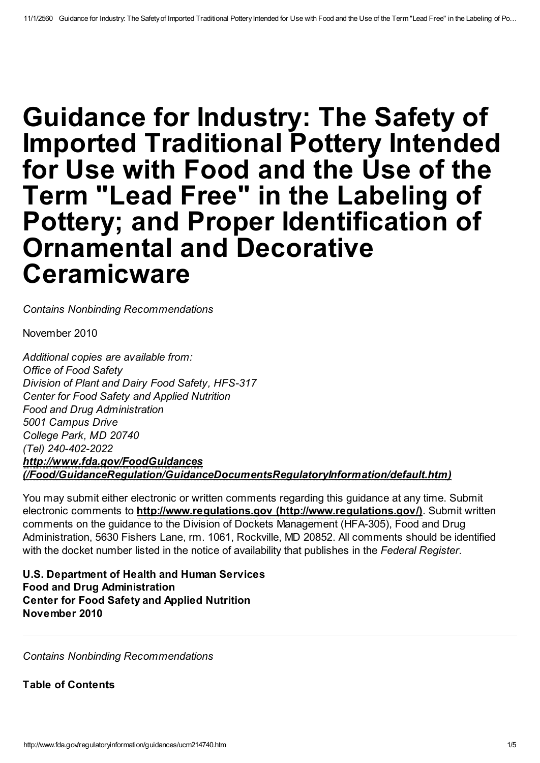# Guidance for Industry: The Safety of Imported Traditional Pottery Intended for Use with Food and the Use of the Term "Lead Free" in the Labeling of Pottery; and Proper Identification of Ornamental and Decorative **Ceramicware**

Contains Nonbinding Recommendations

November 2010

Additional copies are available from: Office of Food Safety Division of Plant and Dairy Food Safety, HFS-317 Center for Food Safety and Applied Nutrition Food and Drug Administration 5001 Campus Drive College Park, MD 20740 (Tel) 240-402-2022 http://www.fda.gov/FoodGuidances [\(/Food/GuidanceRegulation/GuidanceDocumentsRegulatoryInformation/default.htm\)](http://www.fda.gov/Food/GuidanceRegulation/GuidanceDocumentsRegulatoryInformation/default.htm)

You may submit either electronic or written comments regarding this guidance at any time. Submit electronic comments to http://www.regulations.gov [\(http://www.regulations.gov/\)](http://www.regulations.gov/). Submit written comments on the guidance to the Division of Dockets Management (HFA-305), Food and Drug Administration, 5630 Fishers Lane, rm. 1061, Rockville, MD 20852. All comments should be identified with the docket number listed in the notice of availability that publishes in the Federal Register.

U.S. Department of Health and Human Services Food and Drug Administration Center for Food Safety and Applied Nutrition November 2010

Contains Nonbinding Recommendations

Table of Contents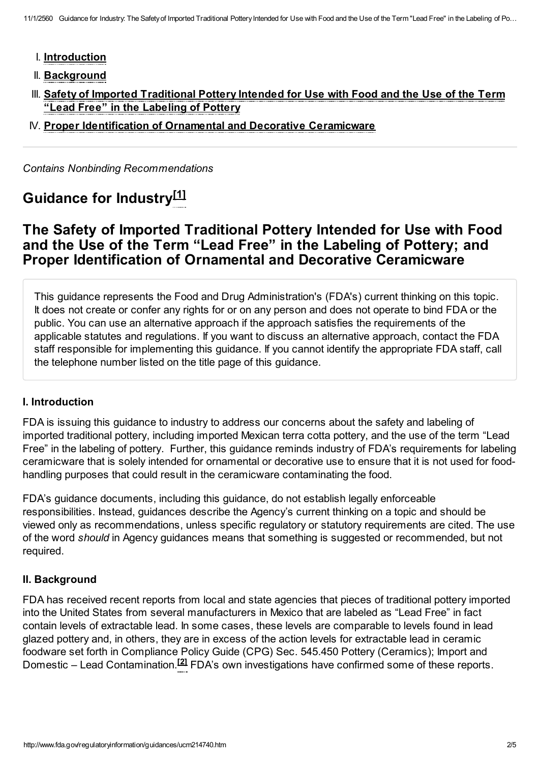- I. [Introduction](#page-1-0)
- II. [Background](#page-1-1)
- III. Safety of Imported [Traditional](#page-2-0) Pottery Intended for Use with Food and the Use of the Term "Lead Free" in the Labeling of Pottery
- IV. Proper [Identification](#page-3-0) of Ornamental and Decorative Ceramicware

Contains Nonbinding Recommendations

## Guidance for Industry<sup>[\[1\]](#page-3-1)</sup>

### The Safety of Imported Traditional Pottery Intended for Use with Food and the Use of the Term "Lead Free" in the Labeling of Pottery; and Proper Identification of Ornamental and Decorative Ceramicware

This guidance represents the Food and Drug Administration's (FDA's) current thinking on this topic. It does not create or confer any rights for or on any person and does not operate to bind FDA or the public. You can use an alternative approach if the approach satisfies the requirements of the applicable statutes and regulations. If you want to discuss an alternative approach, contact the FDA staff responsible for implementing this guidance. If you cannot identify the appropriate FDA staff, call the telephone number listed on the title page of this guidance.

#### <span id="page-1-0"></span>I. Introduction

FDA is issuing this guidance to industry to address our concerns about the safety and labeling of imported traditional pottery, including imported Mexican terra cotta pottery, and the use of the term "Lead Free" in the labeling of pottery. Further, this guidance reminds industry of FDA's requirements for labeling ceramicware that is solely intended for ornamental or decorative use to ensure that it is not used for foodhandling purposes that could result in the ceramicware contaminating the food.

FDA's guidance documents, including this guidance, do not establish legally enforceable responsibilities. Instead, guidances describe the Agency's current thinking on a topic and should be viewed only as recommendations, unless specific regulatory or statutory requirements are cited. The use of the word should in Agency guidances means that something is suggested or recommended, but not required.

#### <span id="page-1-1"></span>II. Background

FDA has received recent reports from local and state agencies that pieces of traditional pottery imported into the United States from several manufacturers in Mexico that are labeled as "Lead Free" in fact contain levels of extractable lead. In some cases, these levels are comparable to levels found in lead glazed pottery and, in others, they are in excess of the action levels for extractable lead in ceramic foodware set forth in Compliance Policy Guide (CPG) Sec. 545.450 Pottery (Ceramics); Import and Domestic – Lead Contamination.<sup>[\[2\]](#page-3-2)</sup> FDA's own investigations have confirmed some of these reports.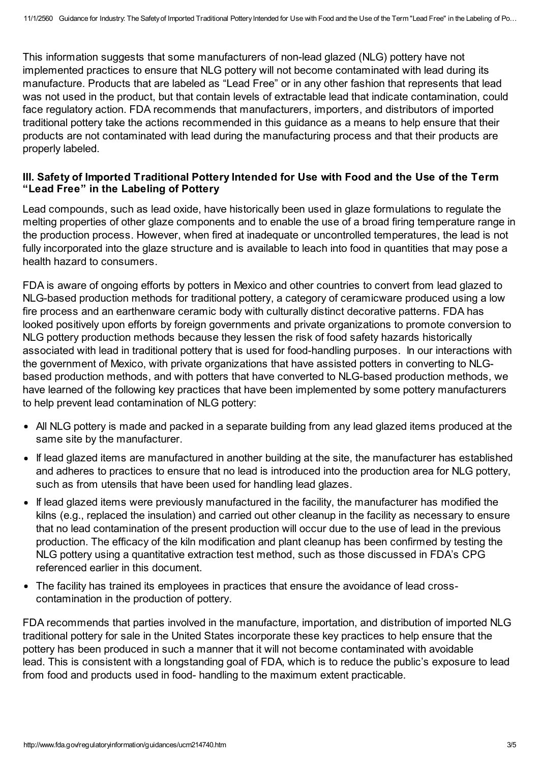This information suggests that some manufacturers of non-lead glazed (NLG) pottery have not implemented practices to ensure that NLG pottery will not become contaminated with lead during its manufacture. Products that are labeled as "Lead Free" or in any other fashion that represents that lead was not used in the product, but that contain levels of extractable lead that indicate contamination, could face regulatory action. FDA recommends that manufacturers, importers, and distributors of imported traditional pottery take the actions recommended in this guidance as a means to help ensure that their products are not contaminated with lead during the manufacturing process and that their products are properly labeled.

#### <span id="page-2-0"></span>III. Safety of Imported Traditional Pottery Intended for Use with Food and the Use of the Term "Lead Free" in the Labeling of Pottery

Lead compounds, such as lead oxide, have historically been used in glaze formulations to regulate the melting properties of other glaze components and to enable the use of a broad firing temperature range in the production process. However, when fired at inadequate or uncontrolled temperatures, the lead is not fully incorporated into the glaze structure and is available to leach into food in quantities that may pose a health hazard to consumers.

FDA is aware of ongoing efforts by potters in Mexico and other countries to convert from lead glazed to NLG-based production methods for traditional pottery, a category of ceramicware produced using a low fire process and an earthenware ceramic body with culturally distinct decorative patterns. FDA has looked positively upon efforts by foreign governments and private organizations to promote conversion to NLG pottery production methods because they lessen the risk of food safety hazards historically associated with lead in traditional pottery that is used for food-handling purposes. In our interactions with the government of Mexico, with private organizations that have assisted potters in converting to NLGbased production methods, and with potters that have converted to NLG-based production methods, we have learned of the following key practices that have been implemented by some pottery manufacturers to help prevent lead contamination of NLG pottery:

- All NLG pottery is made and packed in a separate building from any lead glazed items produced at the same site by the manufacturer.
- If lead glazed items are manufactured in another building at the site, the manufacturer has established and adheres to practices to ensure that no lead is introduced into the production area for NLG pottery, such as from utensils that have been used for handling lead glazes.
- If lead glazed items were previously manufactured in the facility, the manufacturer has modified the kilns (e.g., replaced the insulation) and carried out other cleanup in the facility as necessary to ensure that no lead contamination of the present production will occur due to the use of lead in the previous production. The efficacy of the kiln modification and plant cleanup has been confirmed by testing the NLG pottery using a quantitative extraction test method, such as those discussed in FDA's CPG referenced earlier in this document.
- The facility has trained its employees in practices that ensure the avoidance of lead crosscontamination in the production of pottery.

FDA recommends that parties involved in the manufacture, importation, and distribution of imported NLG traditional pottery for sale in the United States incorporate these key practices to help ensure that the pottery has been produced in such a manner that it will not become contaminated with avoidable lead. This is consistent with a longstanding goal of FDA, which is to reduce the public's exposure to lead from food and products used in food- handling to the maximum extent practicable.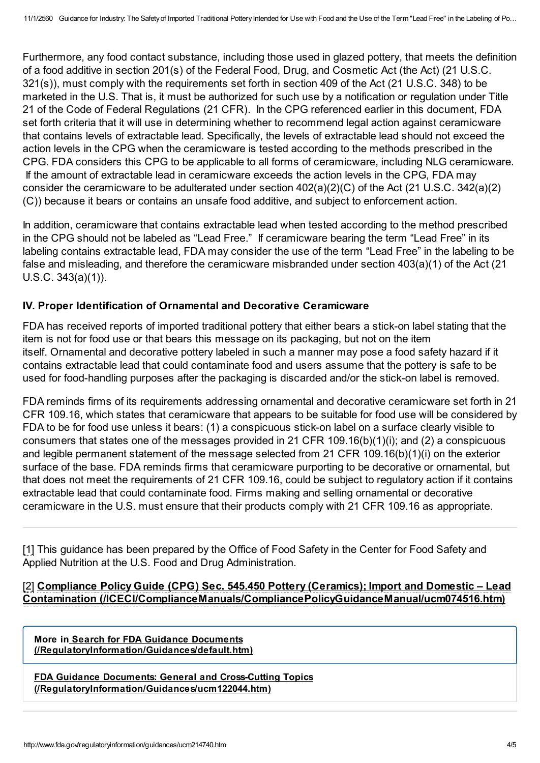Furthermore, any food contact substance, including those used in glazed pottery, that meets the definition of a food additive in section 201(s) of the Federal Food, Drug, and Cosmetic Act (the Act) (21 U.S.C. 321(s)), must comply with the requirements set forth in section 409 of the Act (21 U.S.C. 348) to be marketed in the U.S. That is, it must be authorized for such use by a notification or regulation under Title 21 of the Code of Federal Regulations (21 CFR). In the CPG referenced earlier in this document, FDA set forth criteria that it will use in determining whether to recommend legal action against ceramicware that contains levels of extractable lead. Specifically, the levels of extractable lead should not exceed the action levels in the CPG when the ceramicware is tested according to the methods prescribed in the CPG. FDA considers this CPG to be applicable to all forms of ceramicware, including NLG ceramicware. If the amount of extractable lead in ceramicware exceeds the action levels in the CPG, FDA may consider the ceramicware to be adulterated under section 402(a)(2)(C) of the Act (21 U.S.C. 342(a)(2) (C)) because it bears or contains an unsafe food additive, and subject to enforcement action.

In addition, ceramicware that contains extractable lead when tested according to the method prescribed in the CPG should not be labeled as "Lead Free." If ceramicware bearing the term "Lead Free" in its labeling contains extractable lead, FDA may consider the use of the term "Lead Free" in the labeling to be false and misleading, and therefore the ceramicware misbranded under section 403(a)(1) of the Act (21 U.S.C. 343(a)(1)).

#### <span id="page-3-0"></span>IV. Proper Identification of Ornamental and Decorative Ceramicware

FDA has received reports of imported traditional pottery that either bears a stick-on label stating that the item is not for food use or that bears this message on its packaging, but not on the item itself. Ornamental and decorative pottery labeled in such a manner may pose a food safety hazard if it contains extractable lead that could contaminate food and users assume that the pottery is safe to be used for food-handling purposes after the packaging is discarded and/or the stick-on label is removed.

FDA reminds firms of its requirements addressing ornamental and decorative ceramicware set forth in 21 CFR 109.16, which states that ceramicware that appears to be suitable for food use will be considered by FDA to be for food use unless it bears: (1) a conspicuous stick-on label on a surface clearly visible to consumers that states one of the messages provided in 21 CFR 109.16(b)(1)(i); and (2) a conspicuous and legible permanent statement of the message selected from 21 CFR 109.16(b)(1)(i) on the exterior surface of the base. FDA reminds firms that ceramicware purporting to be decorative or ornamental, but that does not meet the requirements of 21 CFR 109.16, could be subject to regulatory action if it contains extractable lead that could contaminate food. Firms making and selling ornamental or decorative ceramicware in the U.S. must ensure that their products comply with 21 CFR 109.16 as appropriate.

<span id="page-3-1"></span>[1] This guidance has been prepared by the Office of Food Safety in the Center for Food Safety and Applied Nutrition at the U.S. Food and Drug Administration.

<span id="page-3-2"></span>[2] Compliance Policy Guide (CPG) Sec. 545.450 Pottery (Ceramics); Import and Domestic - Lead Contamination [\(/ICECI/ComplianceManuals/CompliancePolicyGuidanceManual/ucm074516.htm\)](http://www.fda.gov/ICECI/ComplianceManuals/CompliancePolicyGuidanceManual/ucm074516.htm)

More in Search for FDA Guidance Documents [\(/RegulatoryInformation/Guidances/default.htm\)](http://www.fda.gov/RegulatoryInformation/Guidances/default.htm)

FDA Guidance Documents: General and Cross-Cutting Topics [\(/RegulatoryInformation/Guidances/ucm122044.htm\)](http://www.fda.gov/RegulatoryInformation/Guidances/ucm122044.htm)